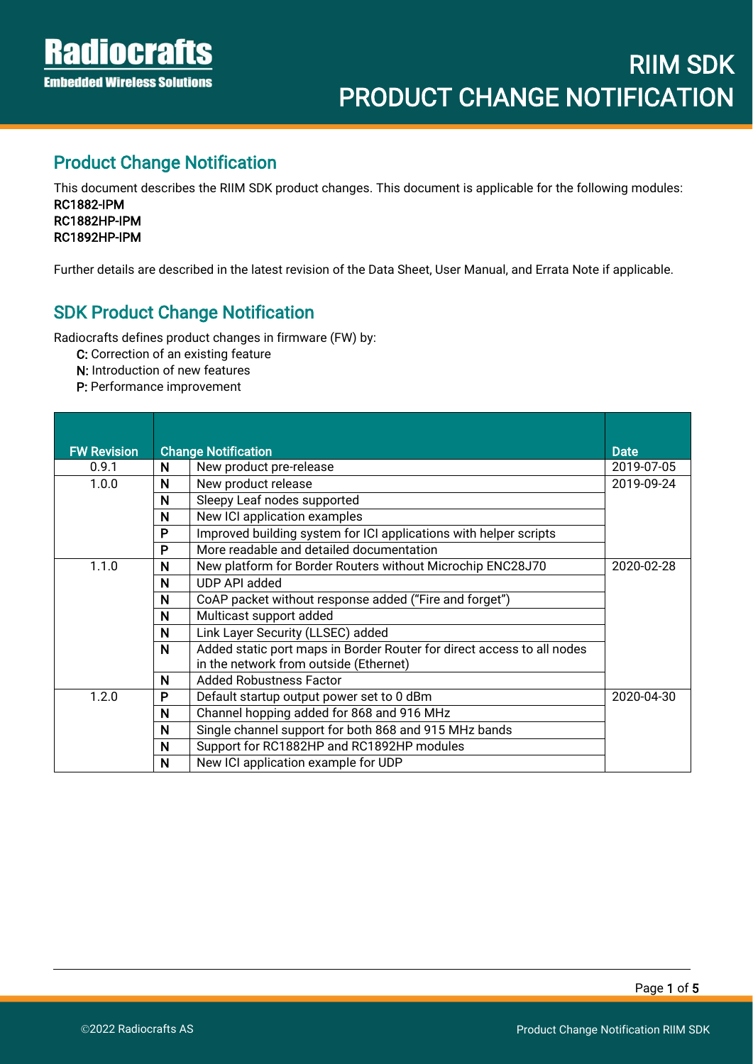İ

#### Product Change Notification

This document describes the RIIM SDK product changes. This document is applicable for the following modules: RC1882-IPM RC1882HP-IPM RC1892HP-IPM

Further details are described in the latest revision of the Data Sheet, User Manual, and Errata Note if applicable.

#### SDK Product Change Notification

Radiocrafts defines product changes in firmware (FW) by:

C: Correction of an existing feature

- N: Introduction of new features
- P: Performance improvement

| <b>FW Revision</b> | <b>Change Notification</b> |                                                                        | <b>Date</b> |
|--------------------|----------------------------|------------------------------------------------------------------------|-------------|
| 0.9.1              | N                          | New product pre-release                                                | 2019-07-05  |
| 1.0.0              | N                          | New product release                                                    | 2019-09-24  |
|                    | N                          | Sleepy Leaf nodes supported                                            |             |
|                    | N                          | New ICI application examples                                           |             |
|                    | P                          | Improved building system for ICI applications with helper scripts      |             |
|                    | P                          | More readable and detailed documentation                               |             |
| 1.1.0              | N                          | New platform for Border Routers without Microchip ENC28J70             | 2020-02-28  |
|                    | N                          | UDP API added                                                          |             |
|                    | N                          | CoAP packet without response added ("Fire and forget")                 |             |
|                    | N                          | Multicast support added                                                |             |
|                    | N                          | Link Layer Security (LLSEC) added                                      |             |
|                    | N                          | Added static port maps in Border Router for direct access to all nodes |             |
|                    |                            | in the network from outside (Ethernet)                                 |             |
|                    | N                          | <b>Added Robustness Factor</b>                                         |             |
| 1.2.0              | P                          | Default startup output power set to 0 dBm                              | 2020-04-30  |
|                    | N                          | Channel hopping added for 868 and 916 MHz                              |             |
|                    | N                          | Single channel support for both 868 and 915 MHz bands                  |             |
|                    | N                          | Support for RC1882HP and RC1892HP modules                              |             |
|                    | N                          | New ICI application example for UDP                                    |             |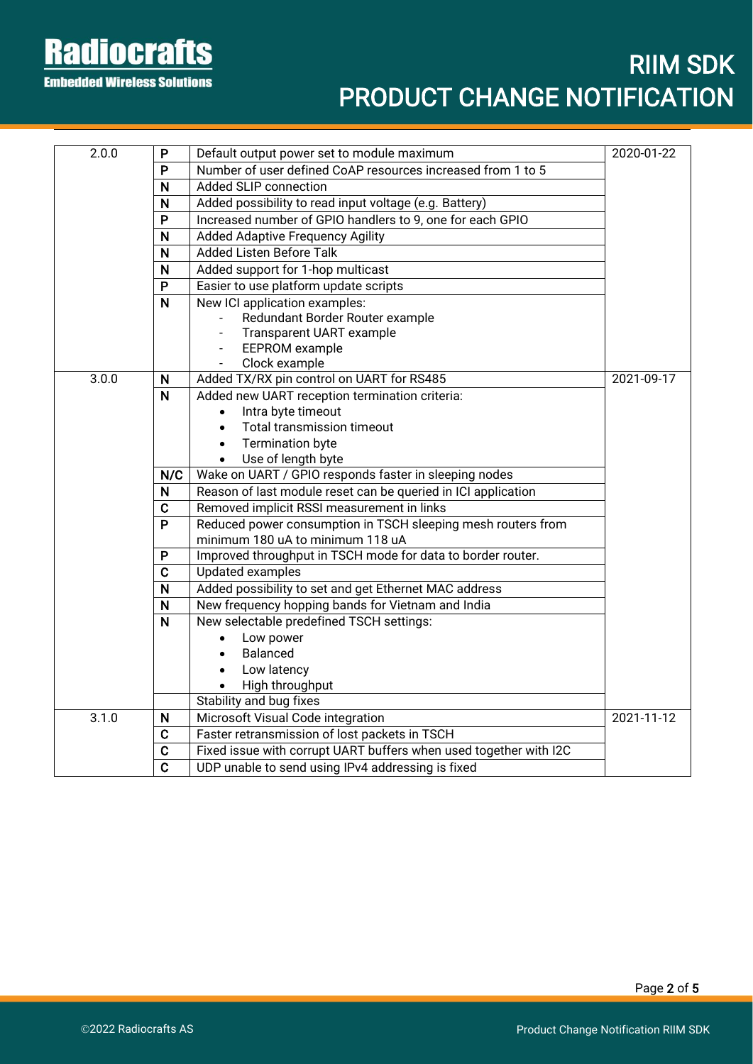**Radiocrafts Embedded Wireless Solutions** 

# RIIM SDK PRODUCT CHANGE NOTIFICATION

| 2.0.0 | P                       | Default output power set to module maximum                        | 2020-01-22 |
|-------|-------------------------|-------------------------------------------------------------------|------------|
|       | P                       | Number of user defined CoAP resources increased from 1 to 5       |            |
|       | N                       | Added SLIP connection                                             |            |
|       | N                       | Added possibility to read input voltage (e.g. Battery)            |            |
|       | P                       | Increased number of GPIO handlers to 9, one for each GPIO         |            |
|       | N                       | <b>Added Adaptive Frequency Agility</b>                           |            |
|       | N                       | <b>Added Listen Before Talk</b>                                   |            |
|       | N                       | Added support for 1-hop multicast                                 |            |
|       | P                       | Easier to use platform update scripts                             |            |
|       | N                       | New ICI application examples:                                     |            |
|       |                         | Redundant Border Router example                                   |            |
|       |                         | Transparent UART example                                          |            |
|       |                         | EEPROM example                                                    |            |
|       |                         | Clock example<br>$\overline{\phantom{a}}$                         |            |
| 3.0.0 | N                       | Added TX/RX pin control on UART for RS485                         | 2021-09-17 |
|       | $\overline{\mathsf{N}}$ | Added new UART reception termination criteria:                    |            |
|       |                         | Intra byte timeout                                                |            |
|       |                         | Total transmission timeout<br>$\bullet$                           |            |
|       |                         | <b>Termination byte</b><br>$\bullet$                              |            |
|       |                         | Use of length byte<br>$\bullet$                                   |            |
|       | N/C                     | Wake on UART / GPIO responds faster in sleeping nodes             |            |
|       | N                       | Reason of last module reset can be queried in ICI application     |            |
|       | $\mathbf C$             | Removed implicit RSSI measurement in links                        |            |
|       | P                       | Reduced power consumption in TSCH sleeping mesh routers from      |            |
|       |                         | minimum 180 uA to minimum 118 uA                                  |            |
|       | P                       | Improved throughput in TSCH mode for data to border router.       |            |
|       | $\mathbf C$             | Updated examples                                                  |            |
|       | N                       | Added possibility to set and get Ethernet MAC address             |            |
|       | N                       | New frequency hopping bands for Vietnam and India                 |            |
|       | N                       | New selectable predefined TSCH settings:                          |            |
|       |                         | Low power                                                         |            |
|       |                         | Balanced<br>$\bullet$                                             |            |
|       |                         | Low latency<br>$\bullet$                                          |            |
|       |                         | High throughput                                                   |            |
|       |                         | Stability and bug fixes                                           |            |
| 3.1.0 | N                       | Microsoft Visual Code integration                                 | 2021-11-12 |
|       | C                       | Faster retransmission of lost packets in TSCH                     |            |
|       | $\mathbf C$             | Fixed issue with corrupt UART buffers when used together with I2C |            |
|       | $\overline{c}$          | UDP unable to send using IPv4 addressing is fixed                 |            |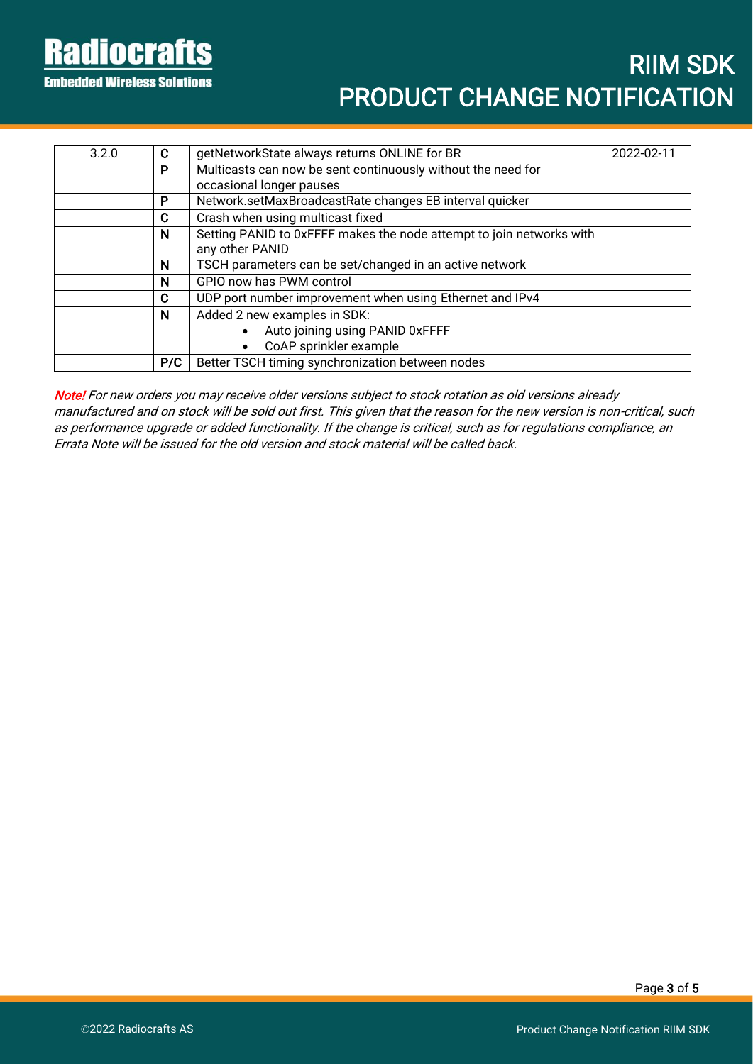**Radiocrafts Embedded Wireless Solutions** 

| 3.2.0 | C   | getNetworkState always returns ONLINE for BR                         | 2022-02-11 |
|-------|-----|----------------------------------------------------------------------|------------|
|       | P   | Multicasts can now be sent continuously without the need for         |            |
|       |     | occasional longer pauses                                             |            |
|       | P   | Network.setMaxBroadcastRate changes EB interval quicker              |            |
|       | C   | Crash when using multicast fixed                                     |            |
|       | N   | Setting PANID to 0xFFFF makes the node attempt to join networks with |            |
|       |     | any other PANID                                                      |            |
|       | N   | TSCH parameters can be set/changed in an active network              |            |
|       | N   | GPIO now has PWM control                                             |            |
|       | C   | UDP port number improvement when using Ethernet and IPv4             |            |
|       | N   | Added 2 new examples in SDK:                                         |            |
|       |     | Auto joining using PANID 0xFFFF                                      |            |
|       |     | CoAP sprinkler example                                               |            |
|       | P/C | Better TSCH timing synchronization between nodes                     |            |

Note! For new orders you may receive older versions subject to stock rotation as old versions already manufactured and on stock will be sold out first. This given that the reason for the new version is non-critical, such as performance upgrade or added functionality. If the change is critical, such as for regulations compliance, an Errata Note will be issued for the old version and stock material will be called back.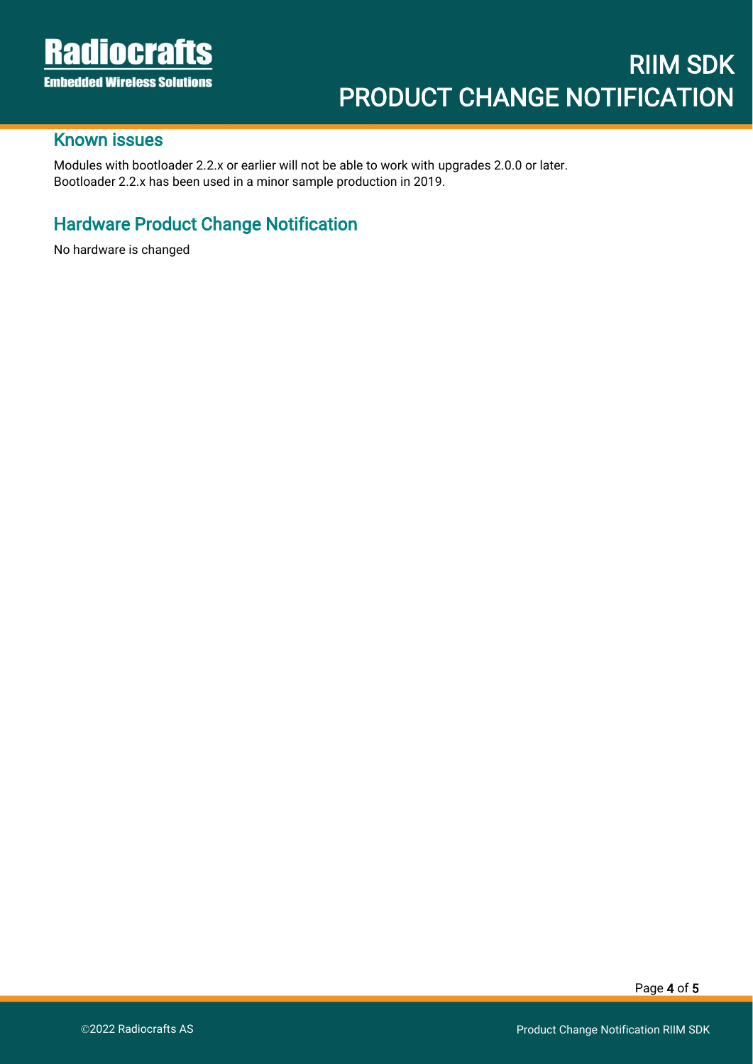İ

#### Known issues

Modules with bootloader 2.2.x or earlier will not be able to work with upgrades 2.0.0 or later. Bootloader 2.2.x has been used in a minor sample production in 2019.

# Hardware Product Change Notification

No hardware is changed